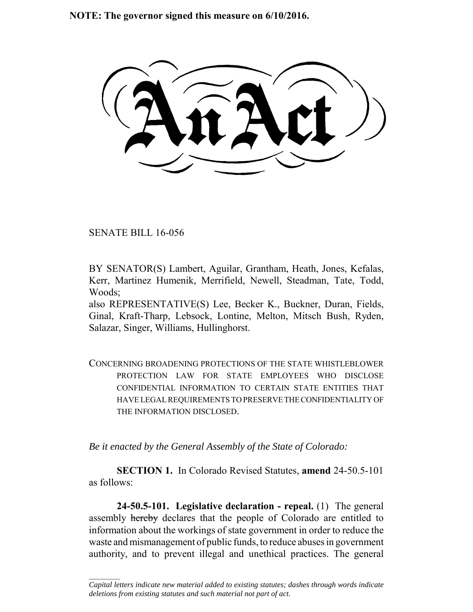**NOTE: The governor signed this measure on 6/10/2016.**

SENATE BILL 16-056

 $\frac{1}{2}$ 

BY SENATOR(S) Lambert, Aguilar, Grantham, Heath, Jones, Kefalas, Kerr, Martinez Humenik, Merrifield, Newell, Steadman, Tate, Todd, Woods;

also REPRESENTATIVE(S) Lee, Becker K., Buckner, Duran, Fields, Ginal, Kraft-Tharp, Lebsock, Lontine, Melton, Mitsch Bush, Ryden, Salazar, Singer, Williams, Hullinghorst.

CONCERNING BROADENING PROTECTIONS OF THE STATE WHISTLEBLOWER PROTECTION LAW FOR STATE EMPLOYEES WHO DISCLOSE CONFIDENTIAL INFORMATION TO CERTAIN STATE ENTITIES THAT HAVE LEGAL REQUIREMENTS TO PRESERVE THE CONFIDENTIALITY OF THE INFORMATION DISCLOSED.

*Be it enacted by the General Assembly of the State of Colorado:*

**SECTION 1.** In Colorado Revised Statutes, **amend** 24-50.5-101 as follows:

**24-50.5-101. Legislative declaration - repeal.** (1) The general assembly hereby declares that the people of Colorado are entitled to information about the workings of state government in order to reduce the waste and mismanagement of public funds, to reduce abuses in government authority, and to prevent illegal and unethical practices. The general

*Capital letters indicate new material added to existing statutes; dashes through words indicate deletions from existing statutes and such material not part of act.*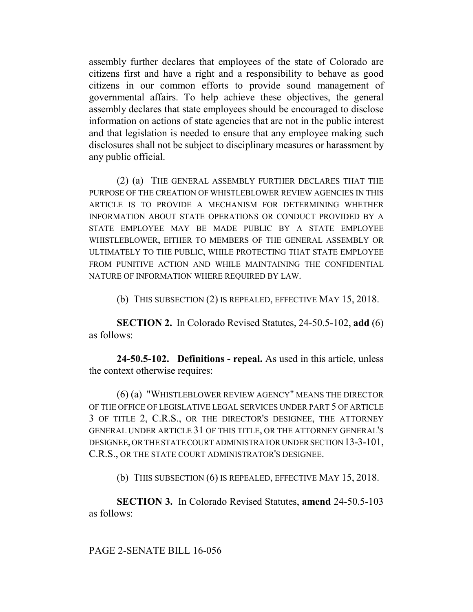assembly further declares that employees of the state of Colorado are citizens first and have a right and a responsibility to behave as good citizens in our common efforts to provide sound management of governmental affairs. To help achieve these objectives, the general assembly declares that state employees should be encouraged to disclose information on actions of state agencies that are not in the public interest and that legislation is needed to ensure that any employee making such disclosures shall not be subject to disciplinary measures or harassment by any public official.

(2) (a) THE GENERAL ASSEMBLY FURTHER DECLARES THAT THE PURPOSE OF THE CREATION OF WHISTLEBLOWER REVIEW AGENCIES IN THIS ARTICLE IS TO PROVIDE A MECHANISM FOR DETERMINING WHETHER INFORMATION ABOUT STATE OPERATIONS OR CONDUCT PROVIDED BY A STATE EMPLOYEE MAY BE MADE PUBLIC BY A STATE EMPLOYEE WHISTLEBLOWER, EITHER TO MEMBERS OF THE GENERAL ASSEMBLY OR ULTIMATELY TO THE PUBLIC, WHILE PROTECTING THAT STATE EMPLOYEE FROM PUNITIVE ACTION AND WHILE MAINTAINING THE CONFIDENTIAL NATURE OF INFORMATION WHERE REQUIRED BY LAW.

(b) THIS SUBSECTION (2) IS REPEALED, EFFECTIVE MAY 15, 2018.

**SECTION 2.** In Colorado Revised Statutes, 24-50.5-102, **add** (6) as follows:

**24-50.5-102. Definitions - repeal.** As used in this article, unless the context otherwise requires:

(6) (a) "WHISTLEBLOWER REVIEW AGENCY" MEANS THE DIRECTOR OF THE OFFICE OF LEGISLATIVE LEGAL SERVICES UNDER PART 5 OF ARTICLE 3 OF TITLE 2, C.R.S., OR THE DIRECTOR'S DESIGNEE, THE ATTORNEY GENERAL UNDER ARTICLE 31 OF THIS TITLE, OR THE ATTORNEY GENERAL'S DESIGNEE, OR THE STATE COURT ADMINISTRATOR UNDER SECTION 13-3-101, C.R.S., OR THE STATE COURT ADMINISTRATOR'S DESIGNEE.

(b) THIS SUBSECTION (6) IS REPEALED, EFFECTIVE MAY 15, 2018.

**SECTION 3.** In Colorado Revised Statutes, **amend** 24-50.5-103 as follows: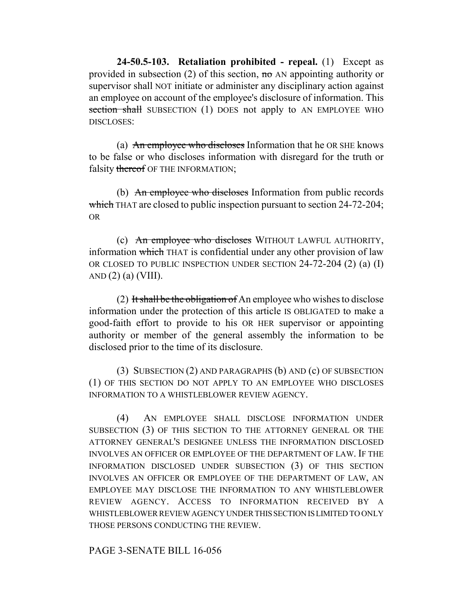**24-50.5-103. Retaliation prohibited - repeal.** (1) Except as provided in subsection (2) of this section, no AN appointing authority or supervisor shall NOT initiate or administer any disciplinary action against an employee on account of the employee's disclosure of information. This section shall SUBSECTION (1) DOES not apply to AN EMPLOYEE WHO DISCLOSES:

(a) An employee who discloses Information that he OR SHE knows to be false or who discloses information with disregard for the truth or falsity thereof OF THE INFORMATION;

(b) An employee who discloses Information from public records which THAT are closed to public inspection pursuant to section 24-72-204; OR

(c) An employee who discloses WITHOUT LAWFUL AUTHORITY, information which THAT is confidential under any other provision of law OR CLOSED TO PUBLIC INSPECTION UNDER SECTION 24-72-204 (2) (a) (I) AND  $(2)$   $(a)$  (VIII).

(2) It shall be the obligation of An employee who wishes to disclose information under the protection of this article IS OBLIGATED to make a good-faith effort to provide to his OR HER supervisor or appointing authority or member of the general assembly the information to be disclosed prior to the time of its disclosure.

(3) SUBSECTION (2) AND PARAGRAPHS (b) AND (c) OF SUBSECTION (1) OF THIS SECTION DO NOT APPLY TO AN EMPLOYEE WHO DISCLOSES INFORMATION TO A WHISTLEBLOWER REVIEW AGENCY.

(4) AN EMPLOYEE SHALL DISCLOSE INFORMATION UNDER SUBSECTION (3) OF THIS SECTION TO THE ATTORNEY GENERAL OR THE ATTORNEY GENERAL'S DESIGNEE UNLESS THE INFORMATION DISCLOSED INVOLVES AN OFFICER OR EMPLOYEE OF THE DEPARTMENT OF LAW. IF THE INFORMATION DISCLOSED UNDER SUBSECTION (3) OF THIS SECTION INVOLVES AN OFFICER OR EMPLOYEE OF THE DEPARTMENT OF LAW, AN EMPLOYEE MAY DISCLOSE THE INFORMATION TO ANY WHISTLEBLOWER REVIEW AGENCY. ACCESS TO INFORMATION RECEIVED BY A WHISTLEBLOWER REVIEW AGENCY UNDER THIS SECTION IS LIMITED TO ONLY THOSE PERSONS CONDUCTING THE REVIEW.

## PAGE 3-SENATE BILL 16-056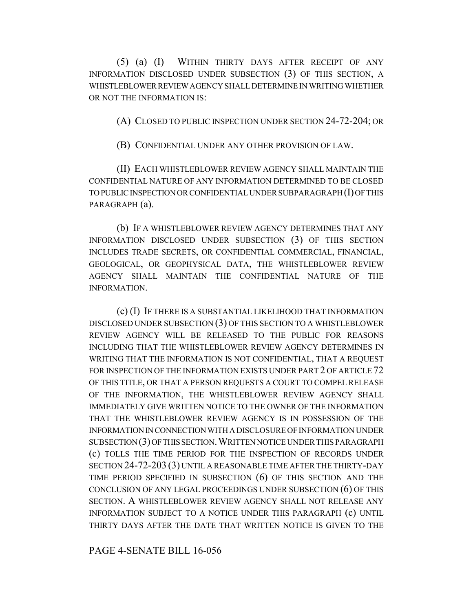(5) (a) (I) WITHIN THIRTY DAYS AFTER RECEIPT OF ANY INFORMATION DISCLOSED UNDER SUBSECTION (3) OF THIS SECTION, A WHISTLEBLOWER REVIEW AGENCY SHALL DETERMINE IN WRITING WHETHER OR NOT THE INFORMATION IS:

(A) CLOSED TO PUBLIC INSPECTION UNDER SECTION 24-72-204; OR

(B) CONFIDENTIAL UNDER ANY OTHER PROVISION OF LAW.

(II) EACH WHISTLEBLOWER REVIEW AGENCY SHALL MAINTAIN THE CONFIDENTIAL NATURE OF ANY INFORMATION DETERMINED TO BE CLOSED TO PUBLIC INSPECTION OR CONFIDENTIAL UNDER SUBPARAGRAPH (I) OF THIS PARAGRAPH (a).

(b) IF A WHISTLEBLOWER REVIEW AGENCY DETERMINES THAT ANY INFORMATION DISCLOSED UNDER SUBSECTION (3) OF THIS SECTION INCLUDES TRADE SECRETS, OR CONFIDENTIAL COMMERCIAL, FINANCIAL, GEOLOGICAL, OR GEOPHYSICAL DATA, THE WHISTLEBLOWER REVIEW AGENCY SHALL MAINTAIN THE CONFIDENTIAL NATURE OF THE INFORMATION.

(c) (I) IF THERE IS A SUBSTANTIAL LIKELIHOOD THAT INFORMATION DISCLOSED UNDER SUBSECTION (3) OF THIS SECTION TO A WHISTLEBLOWER REVIEW AGENCY WILL BE RELEASED TO THE PUBLIC FOR REASONS INCLUDING THAT THE WHISTLEBLOWER REVIEW AGENCY DETERMINES IN WRITING THAT THE INFORMATION IS NOT CONFIDENTIAL, THAT A REQUEST FOR INSPECTION OF THE INFORMATION EXISTS UNDER PART 2 OF ARTICLE 72 OF THIS TITLE, OR THAT A PERSON REQUESTS A COURT TO COMPEL RELEASE OF THE INFORMATION, THE WHISTLEBLOWER REVIEW AGENCY SHALL IMMEDIATELY GIVE WRITTEN NOTICE TO THE OWNER OF THE INFORMATION THAT THE WHISTLEBLOWER REVIEW AGENCY IS IN POSSESSION OF THE INFORMATION IN CONNECTION WITH A DISCLOSURE OF INFORMATION UNDER SUBSECTION (3) OF THIS SECTION.WRITTEN NOTICE UNDER THIS PARAGRAPH (c) TOLLS THE TIME PERIOD FOR THE INSPECTION OF RECORDS UNDER SECTION 24-72-203 (3) UNTIL A REASONABLE TIME AFTER THE THIRTY-DAY TIME PERIOD SPECIFIED IN SUBSECTION (6) OF THIS SECTION AND THE CONCLUSION OF ANY LEGAL PROCEEDINGS UNDER SUBSECTION (6) OF THIS SECTION. A WHISTLEBLOWER REVIEW AGENCY SHALL NOT RELEASE ANY INFORMATION SUBJECT TO A NOTICE UNDER THIS PARAGRAPH (c) UNTIL THIRTY DAYS AFTER THE DATE THAT WRITTEN NOTICE IS GIVEN TO THE

PAGE 4-SENATE BILL 16-056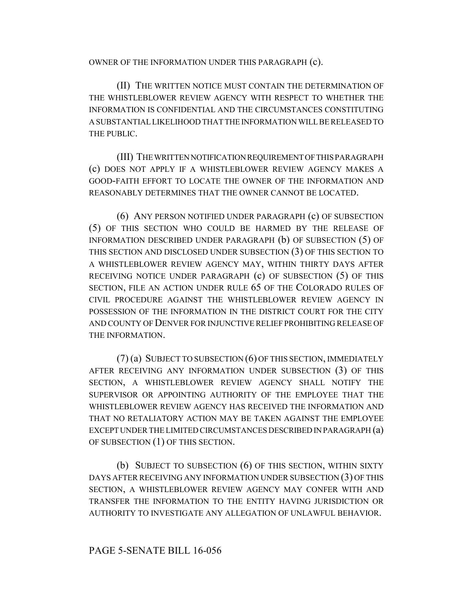OWNER OF THE INFORMATION UNDER THIS PARAGRAPH (c).

(II) THE WRITTEN NOTICE MUST CONTAIN THE DETERMINATION OF THE WHISTLEBLOWER REVIEW AGENCY WITH RESPECT TO WHETHER THE INFORMATION IS CONFIDENTIAL AND THE CIRCUMSTANCES CONSTITUTING A SUBSTANTIAL LIKELIHOOD THAT THE INFORMATION WILL BE RELEASED TO THE PUBLIC.

(III) THE WRITTEN NOTIFICATION REQUIREMENT OF THIS PARAGRAPH (c) DOES NOT APPLY IF A WHISTLEBLOWER REVIEW AGENCY MAKES A GOOD-FAITH EFFORT TO LOCATE THE OWNER OF THE INFORMATION AND REASONABLY DETERMINES THAT THE OWNER CANNOT BE LOCATED.

(6) ANY PERSON NOTIFIED UNDER PARAGRAPH (c) OF SUBSECTION (5) OF THIS SECTION WHO COULD BE HARMED BY THE RELEASE OF INFORMATION DESCRIBED UNDER PARAGRAPH (b) OF SUBSECTION (5) OF THIS SECTION AND DISCLOSED UNDER SUBSECTION (3) OF THIS SECTION TO A WHISTLEBLOWER REVIEW AGENCY MAY, WITHIN THIRTY DAYS AFTER RECEIVING NOTICE UNDER PARAGRAPH (c) OF SUBSECTION (5) OF THIS SECTION, FILE AN ACTION UNDER RULE 65 OF THE COLORADO RULES OF CIVIL PROCEDURE AGAINST THE WHISTLEBLOWER REVIEW AGENCY IN POSSESSION OF THE INFORMATION IN THE DISTRICT COURT FOR THE CITY AND COUNTY OF DENVER FOR INJUNCTIVE RELIEF PROHIBITING RELEASE OF THE INFORMATION.

(7) (a) SUBJECT TO SUBSECTION (6) OF THIS SECTION, IMMEDIATELY AFTER RECEIVING ANY INFORMATION UNDER SUBSECTION (3) OF THIS SECTION, A WHISTLEBLOWER REVIEW AGENCY SHALL NOTIFY THE SUPERVISOR OR APPOINTING AUTHORITY OF THE EMPLOYEE THAT THE WHISTLEBLOWER REVIEW AGENCY HAS RECEIVED THE INFORMATION AND THAT NO RETALIATORY ACTION MAY BE TAKEN AGAINST THE EMPLOYEE EXCEPT UNDER THE LIMITED CIRCUMSTANCES DESCRIBED IN PARAGRAPH (a) OF SUBSECTION (1) OF THIS SECTION.

(b) SUBJECT TO SUBSECTION (6) OF THIS SECTION, WITHIN SIXTY DAYS AFTER RECEIVING ANY INFORMATION UNDER SUBSECTION (3) OF THIS SECTION, A WHISTLEBLOWER REVIEW AGENCY MAY CONFER WITH AND TRANSFER THE INFORMATION TO THE ENTITY HAVING JURISDICTION OR AUTHORITY TO INVESTIGATE ANY ALLEGATION OF UNLAWFUL BEHAVIOR.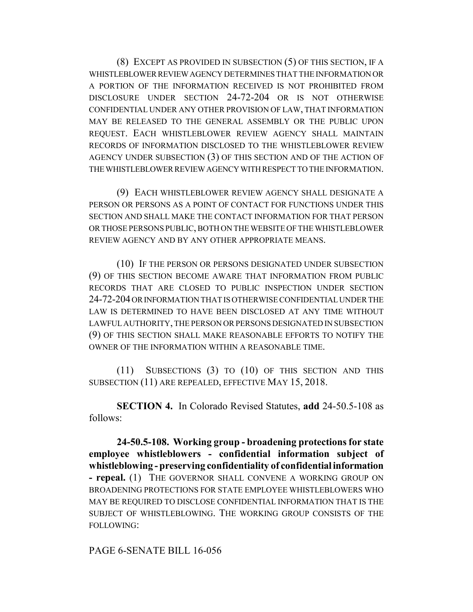(8) EXCEPT AS PROVIDED IN SUBSECTION (5) OF THIS SECTION, IF A WHISTLEBLOWER REVIEW AGENCY DETERMINES THAT THE INFORMATION OR A PORTION OF THE INFORMATION RECEIVED IS NOT PROHIBITED FROM DISCLOSURE UNDER SECTION 24-72-204 OR IS NOT OTHERWISE CONFIDENTIAL UNDER ANY OTHER PROVISION OF LAW, THAT INFORMATION MAY BE RELEASED TO THE GENERAL ASSEMBLY OR THE PUBLIC UPON REQUEST. EACH WHISTLEBLOWER REVIEW AGENCY SHALL MAINTAIN RECORDS OF INFORMATION DISCLOSED TO THE WHISTLEBLOWER REVIEW AGENCY UNDER SUBSECTION (3) OF THIS SECTION AND OF THE ACTION OF THE WHISTLEBLOWER REVIEW AGENCY WITH RESPECT TO THE INFORMATION.

(9) EACH WHISTLEBLOWER REVIEW AGENCY SHALL DESIGNATE A PERSON OR PERSONS AS A POINT OF CONTACT FOR FUNCTIONS UNDER THIS SECTION AND SHALL MAKE THE CONTACT INFORMATION FOR THAT PERSON OR THOSE PERSONS PUBLIC, BOTH ON THE WEBSITE OF THE WHISTLEBLOWER REVIEW AGENCY AND BY ANY OTHER APPROPRIATE MEANS.

(10) IF THE PERSON OR PERSONS DESIGNATED UNDER SUBSECTION (9) OF THIS SECTION BECOME AWARE THAT INFORMATION FROM PUBLIC RECORDS THAT ARE CLOSED TO PUBLIC INSPECTION UNDER SECTION 24-72-204 OR INFORMATION THAT IS OTHERWISE CONFIDENTIAL UNDER THE LAW IS DETERMINED TO HAVE BEEN DISCLOSED AT ANY TIME WITHOUT LAWFUL AUTHORITY, THE PERSON OR PERSONS DESIGNATED IN SUBSECTION (9) OF THIS SECTION SHALL MAKE REASONABLE EFFORTS TO NOTIFY THE OWNER OF THE INFORMATION WITHIN A REASONABLE TIME.

(11) SUBSECTIONS (3) TO (10) OF THIS SECTION AND THIS SUBSECTION (11) ARE REPEALED, EFFECTIVE MAY 15, 2018.

**SECTION 4.** In Colorado Revised Statutes, **add** 24-50.5-108 as follows:

**24-50.5-108. Working group - broadening protections for state employee whistleblowers - confidential information subject of whistleblowing - preserving confidentiality of confidential information - repeal.** (1) THE GOVERNOR SHALL CONVENE A WORKING GROUP ON BROADENING PROTECTIONS FOR STATE EMPLOYEE WHISTLEBLOWERS WHO MAY BE REQUIRED TO DISCLOSE CONFIDENTIAL INFORMATION THAT IS THE SUBJECT OF WHISTLEBLOWING. THE WORKING GROUP CONSISTS OF THE FOLLOWING:

## PAGE 6-SENATE BILL 16-056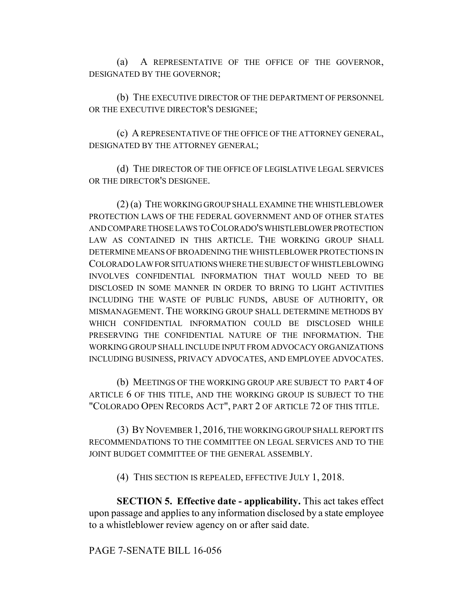(a) A REPRESENTATIVE OF THE OFFICE OF THE GOVERNOR, DESIGNATED BY THE GOVERNOR;

(b) THE EXECUTIVE DIRECTOR OF THE DEPARTMENT OF PERSONNEL OR THE EXECUTIVE DIRECTOR'S DESIGNEE;

(c) A REPRESENTATIVE OF THE OFFICE OF THE ATTORNEY GENERAL, DESIGNATED BY THE ATTORNEY GENERAL;

(d) THE DIRECTOR OF THE OFFICE OF LEGISLATIVE LEGAL SERVICES OR THE DIRECTOR'S DESIGNEE.

(2) (a) THE WORKING GROUP SHALL EXAMINE THE WHISTLEBLOWER PROTECTION LAWS OF THE FEDERAL GOVERNMENT AND OF OTHER STATES AND COMPARE THOSE LAWS TO COLORADO'S WHISTLEBLOWER PROTECTION LAW AS CONTAINED IN THIS ARTICLE. THE WORKING GROUP SHALL DETERMINE MEANS OF BROADENING THE WHISTLEBLOWER PROTECTIONS IN COLORADO LAW FOR SITUATIONS WHERE THE SUBJECT OF WHISTLEBLOWING INVOLVES CONFIDENTIAL INFORMATION THAT WOULD NEED TO BE DISCLOSED IN SOME MANNER IN ORDER TO BRING TO LIGHT ACTIVITIES INCLUDING THE WASTE OF PUBLIC FUNDS, ABUSE OF AUTHORITY, OR MISMANAGEMENT. THE WORKING GROUP SHALL DETERMINE METHODS BY WHICH CONFIDENTIAL INFORMATION COULD BE DISCLOSED WHILE PRESERVING THE CONFIDENTIAL NATURE OF THE INFORMATION. THE WORKING GROUP SHALL INCLUDE INPUT FROM ADVOCACY ORGANIZATIONS INCLUDING BUSINESS, PRIVACY ADVOCATES, AND EMPLOYEE ADVOCATES.

(b) MEETINGS OF THE WORKING GROUP ARE SUBJECT TO PART 4 OF ARTICLE 6 OF THIS TITLE, AND THE WORKING GROUP IS SUBJECT TO THE "COLORADO OPEN RECORDS ACT", PART 2 OF ARTICLE 72 OF THIS TITLE.

(3) BY NOVEMBER 1, 2016, THE WORKING GROUP SHALL REPORT ITS RECOMMENDATIONS TO THE COMMITTEE ON LEGAL SERVICES AND TO THE JOINT BUDGET COMMITTEE OF THE GENERAL ASSEMBLY.

(4) THIS SECTION IS REPEALED, EFFECTIVE JULY 1, 2018.

**SECTION 5. Effective date - applicability.** This act takes effect upon passage and applies to any information disclosed by a state employee to a whistleblower review agency on or after said date.

PAGE 7-SENATE BILL 16-056